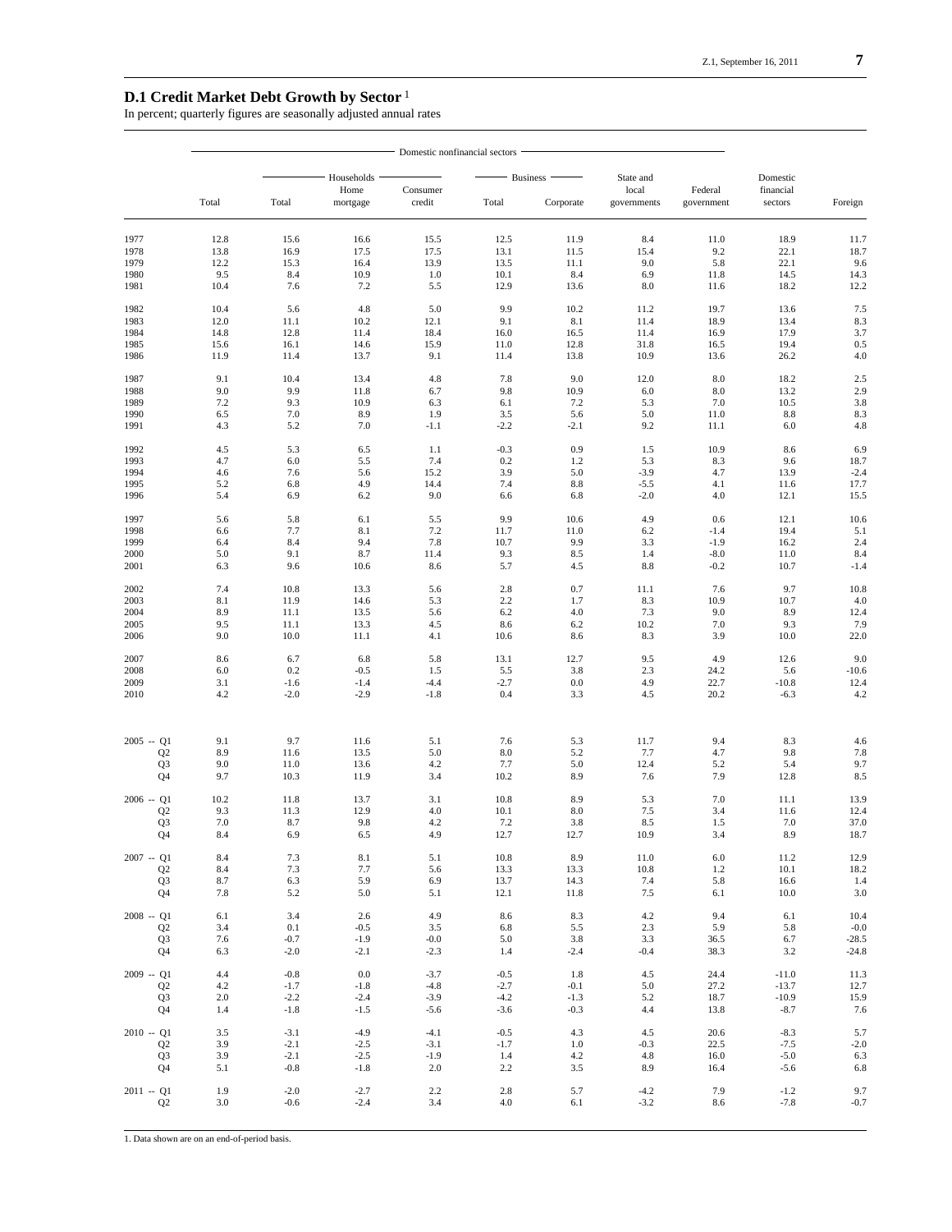## **D.1 Credit Market Debt Growth by Sector**<sup>1</sup>

In percent; quarterly figures are seasonally adjusted annual rates

|                      | Domestic nonfinancial sectors |                  |                  |                    |                  |                  |                                                            |                      |                   |                |
|----------------------|-------------------------------|------------------|------------------|--------------------|------------------|------------------|------------------------------------------------------------|----------------------|-------------------|----------------|
|                      | Total                         |                  | Households       |                    | <b>Business</b>  |                  |                                                            |                      | Domestic          |                |
|                      |                               | Total            | Home<br>mortgage | Consumer<br>credit | Total            | Corporate        | State and<br>local<br>Federal<br>governments<br>government | financial<br>sectors | Foreign           |                |
| 1977                 | 12.8                          | 15.6             | 16.6             | 15.5               | 12.5             | 11.9             | 8.4                                                        | 11.0                 | 18.9              | 11.7           |
| 1978                 | 13.8                          | 16.9             | 17.5             | 17.5               | 13.1             | 11.5             | 15.4                                                       | 9.2                  | 22.1              | 18.7           |
| 1979                 | 12.2                          | 15.3             | 16.4             | 13.9               | 13.5             | 11.1             | 9.0                                                        | 5.8                  | 22.1              | 9.6            |
| 1980                 | 9.5                           | 8.4              | 10.9             | 1.0                | 10.1             | 8.4              | 6.9                                                        | 11.8                 | 14.5              | 14.3           |
| 1981                 | 10.4                          | 7.6              | 7.2              | 5.5                | 12.9             | 13.6             | 8.0                                                        | 11.6                 | 18.2              | 12.2           |
| 1982<br>1983         | 10.4<br>12.0                  | 5.6<br>11.1      | 4.8<br>10.2      | 5.0<br>12.1        | 9.9<br>9.1       | 10.2<br>8.1      | 11.2<br>11.4                                               | 19.7<br>18.9         | 13.6<br>13.4      | 7.5<br>8.3     |
| 1984                 | 14.8                          | 12.8             | 11.4             | 18.4               | 16.0             | 16.5             | 11.4                                                       | 16.9                 | 17.9              | 3.7            |
| 1985                 | 15.6                          | 16.1             | 14.6             | 15.9               | 11.0             | 12.8             | 31.8                                                       | 16.5                 | 19.4              | 0.5            |
| 1986                 | 11.9                          | 11.4             | 13.7             | 9.1                | 11.4             | 13.8             | 10.9                                                       | 13.6                 | 26.2              | 4.0            |
| 1987                 | 9.1                           | 10.4             | 13.4             | 4.8                | 7.8              | 9.0              | 12.0                                                       | $8.0\,$              | 18.2              | 2.5            |
| 1988<br>1989         | 9.0<br>7.2                    | 9.9<br>9.3       | 11.8<br>10.9     | 6.7<br>6.3         | 9.8<br>6.1       | 10.9<br>7.2      | 6.0<br>5.3                                                 | 8.0<br>7.0           | 13.2<br>10.5      | 2.9<br>3.8     |
| 1990                 | 6.5                           | 7.0              | 8.9              | 1.9                | 3.5              | 5.6              | 5.0                                                        | 11.0                 | 8.8               | 8.3            |
| 1991                 | 4.3                           | 5.2              | 7.0              | $-1.1$             | $-2.2$           | $-2.1$           | 9.2                                                        | 11.1                 | 6.0               | 4.8            |
| 1992                 | 4.5                           | 5.3              | 6.5              | 1.1                | $-0.3$           | 0.9              | 1.5                                                        | 10.9                 | 8.6               | 6.9            |
| 1993                 | 4.7                           | 6.0              | 5.5              | 7.4                | 0.2              | 1.2              | 5.3                                                        | 8.3                  | 9.6               | 18.7           |
| 1994<br>1995         | 4.6<br>5.2                    | 7.6<br>6.8       | 5.6<br>4.9       | 15.2<br>14.4       | 3.9<br>7.4       | 5.0<br>$8.8\,$   | $-3.9$<br>$-5.5$                                           | 4.7<br>4.1           | 13.9<br>11.6      | $-2.4$<br>17.7 |
| 1996                 | 5.4                           | 6.9              | 6.2              | 9.0                | 6.6              | 6.8              | $-2.0$                                                     | 4.0                  | 12.1              | 15.5           |
| 1997                 | 5.6                           | 5.8              | 6.1              | 5.5                | 9.9              | 10.6             | 4.9                                                        | 0.6                  | 12.1              | 10.6           |
| 1998                 | 6.6                           | 7.7              | 8.1              | 7.2                | 11.7             | 11.0             | 6.2                                                        | $-1.4$               | 19.4              | 5.1            |
| 1999                 | 6.4                           | 8.4              | 9.4              | 7.8                | 10.7             | 9.9              | 3.3                                                        | $-1.9$               | 16.2              | 2.4            |
| 2000<br>2001         | 5.0<br>6.3                    | 9.1<br>9.6       | 8.7<br>10.6      | 11.4<br>8.6        | 9.3<br>5.7       | 8.5<br>4.5       | 1.4<br>8.8                                                 | $-8.0$<br>$-0.2$     | 11.0<br>10.7      | 8.4<br>$-1.4$  |
| 2002                 | 7.4                           | 10.8             | 13.3             | 5.6                | 2.8              | 0.7              | 11.1                                                       | 7.6                  | 9.7               | 10.8           |
| 2003                 | 8.1                           | 11.9             | 14.6             | 5.3                | 2.2              | 1.7              | 8.3                                                        | 10.9                 | 10.7              | 4.0            |
| 2004                 | 8.9                           | 11.1             | 13.5             | 5.6                | 6.2              | 4.0              | 7.3                                                        | 9.0                  | 8.9               | 12.4           |
| 2005<br>2006         | 9.5<br>9.0                    | 11.1<br>10.0     | 13.3<br>11.1     | 4.5<br>4.1         | 8.6<br>10.6      | 6.2<br>8.6       | 10.2<br>8.3                                                | 7.0<br>3.9           | 9.3<br>10.0       | 7.9<br>22.0    |
|                      |                               |                  |                  |                    |                  |                  |                                                            |                      |                   |                |
| 2007<br>2008         | 8.6<br>6.0                    | 6.7<br>0.2       | 6.8<br>$-0.5$    | 5.8<br>1.5         | 13.1<br>5.5      | 12.7<br>3.8      | 9.5<br>2.3                                                 | 4.9<br>24.2          | 12.6<br>5.6       | 9.0<br>$-10.6$ |
| 2009                 | 3.1                           | $-1.6$           | $-1.4$           | $-4.4$             | $-2.7$           | 0.0              | 4.9                                                        | 22.7                 | $-10.8$           | 12.4           |
| 2010                 | 4.2                           | $-2.0$           | $-2.9$           | $-1.8$             | 0.4              | 3.3              | 4.5                                                        | 20.2                 | $-6.3$            | 4.2            |
| $2005 - Q1$          | 9.1                           | 9.7              | 11.6             | 5.1                | 7.6              | 5.3              | 11.7                                                       | 9.4                  | 8.3               | 4.6            |
| Q2                   | 8.9                           | 11.6             | 13.5             | 5.0                | 8.0              | 5.2              | 7.7                                                        | 4.7                  | 9.8               | 7.8            |
| Q <sub>3</sub>       | 9.0                           | 11.0             | 13.6             | 4.2                | 7.7              | 5.0              | 12.4                                                       | 5.2                  | 5.4               | 9.7            |
| Q4                   | 9.7                           | 10.3             | 11.9             | 3.4                | 10.2             | 8.9              | 7.6                                                        | 7.9                  | 12.8              | 8.5            |
| $2006 - Q1$          | 10.2                          | 11.8             | 13.7             | 3.1                | 10.8             | 8.9              | 5.3                                                        | 7.0                  | 11.1              | 13.9           |
| Q2<br>Q <sub>3</sub> | 9.3<br>7.0                    | 11.3<br>8.7      | 12.9<br>9.8      | 4.0<br>4.2         | 10.1<br>7.2      | 8.0<br>3.8       | 7.5<br>8.5                                                 | 3.4<br>1.5           | 11.6<br>7.0       | 12.4<br>37.0   |
| Q4                   | 8.4                           | 6.9              | 6.5              | 4.9                | 12.7             | 12.7             | 10.9                                                       | 3.4                  | 8.9               | 18.7           |
| $2007 - Q1$          | 8.4                           | 7.3              | 8.1              | 5.1                | 10.8             | 8.9              | 11.0                                                       | 6.0                  | 11.2              | 12.9           |
| Q2                   | 8.4                           | 7.3              | 7.7              | 5.6                | 13.3             | 13.3             | 10.8                                                       | 1.2                  | 10.1              | 18.2           |
| Q3<br>Q4             | 8.7<br>7.8                    | 6.3<br>5.2       | 5.9<br>5.0       | 6.9<br>5.1         | 13.7<br>12.1     | 14.3<br>11.8     | 7.4<br>7.5                                                 | 5.8<br>6.1           | 16.6<br>10.0      | 1.4<br>3.0     |
|                      |                               |                  |                  |                    |                  |                  |                                                            |                      |                   |                |
| $2008 - Q1$<br>Q2    | 6.1<br>3.4                    | 3.4<br>0.1       | 2.6<br>$-0.5$    | 4.9<br>3.5         | 8.6<br>6.8       | 8.3<br>5.5       | 4.2<br>2.3                                                 | 9.4<br>5.9           | 6.1<br>5.8        | 10.4<br>$-0.0$ |
| Q <sub>3</sub>       | 7.6                           | $-0.7$           | $-1.9$           | $-0.0$             | 5.0              | 3.8              | 3.3                                                        | 36.5                 | 6.7               | $-28.5$        |
| Q4                   | 6.3                           | $-2.0$           | $-2.1$           | $-2.3$             | 1.4              | $-2.4$           | $-0.4$                                                     | 38.3                 | 3.2               | $-24.8$        |
| $2009 - Q1$          | 4.4                           | $-0.8$           | 0.0              | $-3.7$             | $-0.5$           | 1.8              | 4.5                                                        | 24.4                 | $-11.0$           | 11.3           |
| Q2                   | 4.2                           | $-1.7$           | $-1.8$           | $-4.8$             | $-2.7$           | $-0.1$           | 5.0                                                        | 27.2                 | $-13.7$           | 12.7           |
| Q3<br>Q <sub>4</sub> | $2.0$<br>1.4                  | $-2.2$<br>$-1.8$ | $-2.4$<br>$-1.5$ | $-3.9$<br>$-5.6$   | $-4.2$<br>$-3.6$ | $-1.3$<br>$-0.3$ | 5.2<br>4.4                                                 | 18.7<br>13.8         | $-10.9$<br>$-8.7$ | 15.9<br>7.6    |
| $2010 - Q1$          | 3.5                           | $-3.1$           | $-4.9$           | $-4.1$             | $-0.5$           | 4.3              | 4.5                                                        | 20.6                 | $-8.3$            | 5.7            |
| Q2                   | 3.9                           | $-2.1$           | $-2.5$           | $-3.1$             | $-1.7$           | 1.0              | $-0.3$                                                     | 22.5                 | $-7.5$            | $-2.0$         |
| Q <sub>3</sub>       | 3.9                           | $-2.1$           | $-2.5$           | $-1.9$             | 1.4              | 4.2              | 4.8                                                        | 16.0                 | $-5.0$            | 6.3            |
| Q4                   | 5.1                           | $-0.8$           | $-1.8$           | 2.0                | 2.2              | 3.5              | 8.9                                                        | 16.4                 | $-5.6$            | 6.8            |
| $2011 - Q1$          | 1.9                           | $-2.0$           | $-2.7$           | 2.2                | 2.8              | 5.7              | $-4.2$                                                     | 7.9                  | $-1.2$            | 9.7            |
| Q2                   | 3.0                           | $-0.6$           | $-2.4$           | 3.4                | 4.0              | 6.1              | $-3.2$                                                     | 8.6                  | $-7.8$            | $-0.7$         |

1. Data shown are on an end-of-period basis.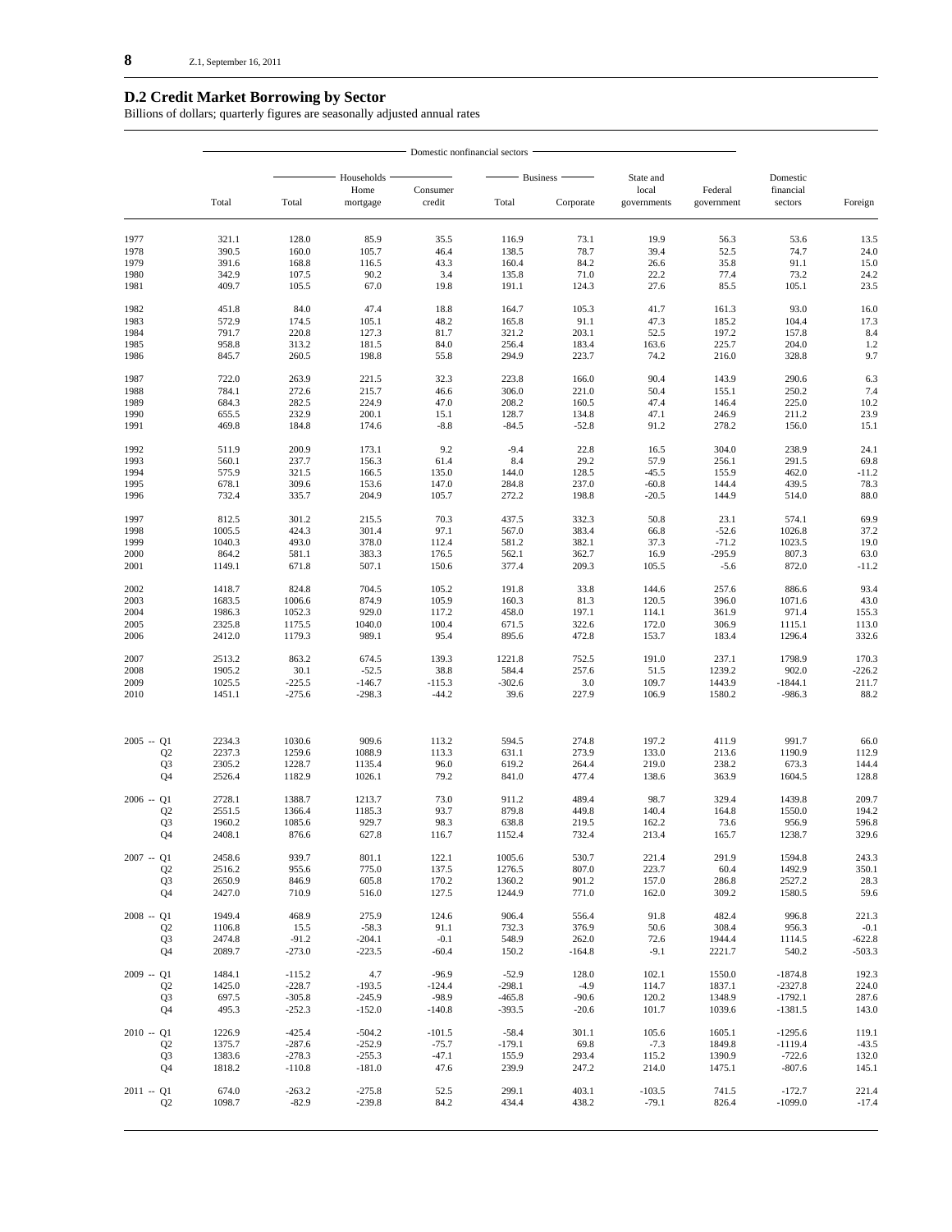## **D.2 Credit Market Borrowing by Sector**

Billions of dollars; quarterly figures are seasonally adjusted annual rates

|                               |                  | - Domestic nonfinancial sectors |                      |                     |                      |                    |                      |                    |                        |                  |
|-------------------------------|------------------|---------------------------------|----------------------|---------------------|----------------------|--------------------|----------------------|--------------------|------------------------|------------------|
|                               |                  |                                 | Households           |                     |                      | Business ·         | State and            |                    | Domestic               |                  |
|                               | Total            | Total                           | Home                 | Consumer            | Total                | Corporate          | local<br>governments | Federal            | financial<br>sectors   |                  |
|                               |                  |                                 | mortgage             | credit              |                      |                    |                      | government         |                        | Foreign          |
| 1977                          | 321.1            | 128.0                           | 85.9                 | 35.5                | 116.9                | 73.1               | 19.9                 | 56.3               | 53.6                   | 13.5             |
| 1978                          | 390.5            | 160.0                           | 105.7                | 46.4                | 138.5                | 78.7               | 39.4                 | 52.5               | 74.7                   | 24.0             |
| 1979                          | 391.6            | 168.8                           | 116.5                | 43.3                | 160.4                | 84.2               | 26.6                 | 35.8               | 91.1                   | 15.0             |
| 1980                          | 342.9            | 107.5                           | 90.2                 | 3.4                 | 135.8                | 71.0               | 22.2                 | 77.4               | 73.2                   | 24.2             |
| 1981                          | 409.7            | 105.5                           | 67.0                 | 19.8                | 191.1                | 124.3              | 27.6                 | 85.5               | 105.1                  | 23.5             |
| 1982<br>1983                  | 451.8<br>572.9   | 84.0<br>174.5                   | 47.4<br>105.1        | 18.8<br>48.2        | 164.7<br>165.8       | 105.3<br>91.1      | 41.7<br>47.3         | 161.3<br>185.2     | 93.0<br>104.4          | 16.0<br>17.3     |
| 1984                          | 791.7            | 220.8                           | 127.3                | 81.7                | 321.2                | 203.1              | 52.5                 | 197.2              | 157.8                  | 8.4              |
| 1985                          | 958.8            | 313.2                           | 181.5                | 84.0                | 256.4                | 183.4              | 163.6                | 225.7              | 204.0                  | 1.2              |
| 1986                          | 845.7            | 260.5                           | 198.8                | 55.8                | 294.9                | 223.7              | 74.2                 | 216.0              | 328.8                  | 9.7              |
| 1987                          | 722.0            | 263.9                           | 221.5                | 32.3                | 223.8                | 166.0              | 90.4                 | 143.9              | 290.6                  | 6.3              |
| 1988                          | 784.1            | 272.6                           | 215.7                | 46.6                | 306.0                | 221.0              | 50.4                 | 155.1              | 250.2                  | 7.4              |
| 1989                          | 684.3            | 282.5                           | 224.9                | 47.0                | 208.2                | 160.5              | 47.4                 | 146.4              | 225.0                  | 10.2             |
| 1990                          | 655.5            | 232.9                           | 200.1                | 15.1                | 128.7                | 134.8              | 47.1                 | 246.9              | 211.2                  | 23.9             |
| 1991                          | 469.8            | 184.8                           | 174.6                | $-8.8$              | $-84.5$              | $-52.8$            | 91.2                 | 278.2              | 156.0                  | 15.1             |
| 1992<br>1993                  | 511.9<br>560.1   | 200.9<br>237.7                  | 173.1<br>156.3       | 9.2<br>61.4         | $-9.4$<br>8.4        | 22.8<br>29.2       | 16.5<br>57.9         | 304.0<br>256.1     | 238.9<br>291.5         | 24.1<br>69.8     |
| 1994                          | 575.9            | 321.5                           | 166.5                | 135.0               | 144.0                | 128.5              | $-45.5$              | 155.9              | 462.0                  | $-11.2$          |
| 1995                          | 678.1            | 309.6                           | 153.6                | 147.0               | 284.8                | 237.0              | $-60.8$              | 144.4              | 439.5                  | 78.3             |
| 1996                          | 732.4            | 335.7                           | 204.9                | 105.7               | 272.2                | 198.8              | $-20.5$              | 144.9              | 514.0                  | 88.0             |
| 1997                          | 812.5            | 301.2                           | 215.5                | 70.3                | 437.5                | 332.3              | 50.8                 | 23.1               | 574.1                  | 69.9             |
| 1998                          | 1005.5           | 424.3                           | 301.4                | 97.1                | 567.0                | 383.4              | 66.8                 | $-52.6$            | 1026.8                 | 37.2             |
| 1999                          | 1040.3           | 493.0                           | 378.0                | 112.4               | 581.2                | 382.1              | 37.3                 | $-71.2$            | 1023.5                 | 19.0             |
| 2000<br>2001                  | 864.2<br>1149.1  | 581.1<br>671.8                  | 383.3<br>507.1       | 176.5<br>150.6      | 562.1<br>377.4       | 362.7<br>209.3     | 16.9<br>105.5        | $-295.9$<br>$-5.6$ | 807.3<br>872.0         | 63.0<br>$-11.2$  |
|                               |                  |                                 |                      |                     |                      |                    |                      |                    |                        |                  |
| 2002<br>2003                  | 1418.7<br>1683.5 | 824.8<br>1006.6                 | 704.5<br>874.9       | 105.2<br>105.9      | 191.8<br>160.3       | 33.8<br>81.3       | 144.6<br>120.5       | 257.6<br>396.0     | 886.6<br>1071.6        | 93.4<br>43.0     |
| 2004                          | 1986.3           | 1052.3                          | 929.0                | 117.2               | 458.0                | 197.1              | 114.1                | 361.9              | 971.4                  | 155.3            |
| 2005                          | 2325.8           | 1175.5                          | 1040.0               | 100.4               | 671.5                | 322.6              | 172.0                | 306.9              | 1115.1                 | 113.0            |
| 2006                          | 2412.0           | 1179.3                          | 989.1                | 95.4                | 895.6                | 472.8              | 153.7                | 183.4              | 1296.4                 | 332.6            |
| 2007                          | 2513.2           | 863.2                           | 674.5                | 139.3               | 1221.8               | 752.5              | 191.0                | 237.1              | 1798.9                 | 170.3            |
| 2008                          | 1905.2           | 30.1                            | $-52.5$              | 38.8                | 584.4                | 257.6              | 51.5                 | 1239.2             | 902.0                  | $-226.2$         |
| 2009                          | 1025.5           | $-225.5$                        | $-146.7$             | $-115.3$            | $-302.6$             | 3.0                | 109.7                | 1443.9             | $-1844.1$              | 211.7            |
| 2010                          | 1451.1           | $-275.6$                        | $-298.3$             | $-44.2$             | 39.6                 | 227.9              | 106.9                | 1580.2             | $-986.3$               | 88.2             |
| $2005 - Q1$                   | 2234.3           | 1030.6                          | 909.6                | 113.2               | 594.5                | 274.8              | 197.2                | 411.9              | 991.7                  | 66.0             |
| Q <sub>2</sub>                | 2237.3           | 1259.6                          | 1088.9               | 113.3               | 631.1                | 273.9              | 133.0                | 213.6              | 1190.9                 | 112.9            |
| Q <sub>3</sub>                | 2305.2           | 1228.7                          | 1135.4               | 96.0                | 619.2                | 264.4              | 219.0                | 238.2              | 673.3                  | 144.4            |
| Q4                            | 2526.4           | 1182.9                          | 1026.1               | 79.2                | 841.0                | 477.4              | 138.6                | 363.9              | 1604.5                 | 128.8            |
| $2006 - Q1$                   | 2728.1           | 1388.7                          | 1213.7               | 73.0                | 911.2                | 489.4              | 98.7                 | 329.4              | 1439.8                 | 209.7            |
| Q <sub>2</sub>                | 2551.5           | 1366.4                          | 1185.3               | 93.7                | 879.8                | 449.8              | 140.4                | 164.8              | 1550.0                 | 194.2            |
| Q <sub>3</sub>                | 1960.2           | 1085.6                          | 929.7                | 98.3                | 638.8                | 219.5              | 162.2                | 73.6               | 956.9                  | 596.8            |
| Q4                            | 2408.1           | 876.6                           | 627.8                | 116.7               | 1152.4               | 732.4              | 213.4                | 165.7              | 1238.7                 | 329.6            |
| $2007 - Q1$                   | 2458.6           | 939.7                           | 801.1                | 122.1               | 1005.6               | 530.7              | 221.4                | 291.9              | 1594.8                 | 243.3            |
| Q <sub>2</sub>                | 2516.2           | 955.6                           | 775.0                | 137.5               | 1276.5               | 807.0              | 223.7                | 60.4               | 1492.9                 | 350.1            |
| Q <sub>3</sub><br>Q4          | 2650.9<br>2427.0 | 846.9<br>710.9                  | 605.8<br>516.0       | 170.2<br>127.5      | 1360.2<br>1244.9     | 901.2<br>771.0     | 157.0<br>162.0       | 286.8<br>309.2     | 2527.2<br>1580.5       | 28.3<br>59.6     |
|                               |                  |                                 |                      |                     |                      |                    |                      |                    |                        |                  |
| $2008 - Q1$<br>Q <sub>2</sub> | 1949.4<br>1106.8 | 468.9<br>15.5                   | 275.9<br>$-58.3$     | 124.6<br>91.1       | 906.4<br>732.3       | 556.4<br>376.9     | 91.8<br>50.6         | 482.4<br>308.4     | 996.8<br>956.3         | 221.3<br>$-0.1$  |
| Q3                            | 2474.8           | $-91.2$                         | $-204.1$             | $-0.1$              | 548.9                | 262.0              | 72.6                 | 1944.4             | 1114.5                 | $-622.8$         |
| Q4                            | 2089.7           | $-273.0$                        | $-223.5$             | $-60.4$             | 150.2                | $-164.8$           | $-9.1$               | 2221.7             | 540.2                  | -503.3           |
| $2009 - Q1$                   | 1484.1           | $-115.2$                        | 4.7                  | $-96.9$             | $-52.9$              | 128.0              | 102.1                | 1550.0             | $-1874.8$              | 192.3            |
| Q2                            | 1425.0           | $-228.7$                        | $-193.5$             | $-124.4$            | $-298.1$             | $-4.9$             | 114.7                | 1837.1             | $-2327.8$              | 224.0            |
| Q <sub>3</sub><br>Q4          | 697.5<br>495.3   | $-305.8$<br>$-252.3$            | $-245.9$<br>$-152.0$ | $-98.9$<br>$-140.8$ | $-465.8$<br>$-393.5$ | $-90.6$<br>$-20.6$ | 120.2<br>101.7       | 1348.9<br>1039.6   | $-1792.1$<br>$-1381.5$ | 287.6<br>143.0   |
|                               |                  |                                 |                      |                     |                      |                    |                      |                    |                        |                  |
| $2010 - Q1$<br>Q <sub>2</sub> | 1226.9<br>1375.7 | $-425.4$<br>$-287.6$            | $-504.2$<br>$-252.9$ | $-101.5$<br>$-75.7$ | $-58.4$<br>$-179.1$  | 301.1<br>69.8      | 105.6<br>$-7.3$      | 1605.1<br>1849.8   | $-1295.6$<br>$-1119.4$ | 119.1<br>$-43.5$ |
| Q3                            | 1383.6           | $-278.3$                        | $-255.3$             | $-47.1$             | 155.9                | 293.4              | 115.2                | 1390.9             | $-722.6$               | 132.0            |
| Q4                            | 1818.2           | $-110.8$                        | $-181.0$             | 47.6                | 239.9                | 247.2              | 214.0                | 1475.1             | $-807.6$               | 145.1            |
| $2011 - Q1$                   | 674.0            | $-263.2$                        | $-275.8$             | 52.5                | 299.1                | 403.1              | $-103.5$             | 741.5              | $-172.7$               | 221.4            |
| Q2                            | 1098.7           | $-82.9$                         | $-239.8$             | 84.2                | 434.4                | 438.2              | $-79.1$              | 826.4              | $-1099.0$              | $-17.4$          |
|                               |                  |                                 |                      |                     |                      |                    |                      |                    |                        |                  |